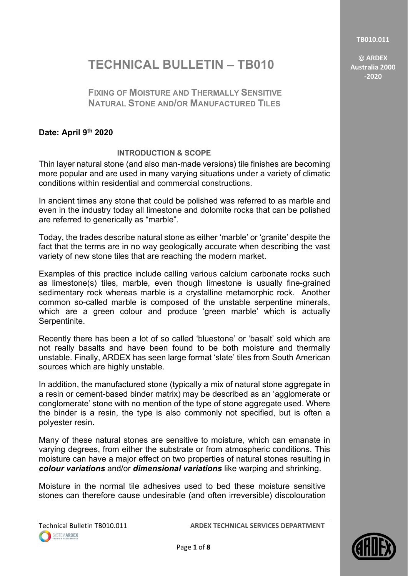**TB010.011**

 **ARDEX Australia 2000 -2020**

# **TECHNICAL BULLETIN – TB010**

# **FIXING OF MOISTURE AND THERMALLY SENSITIVE NATURAL STONE AND/OR MANUFACTURED TILES**

# **Date: April 9th 2020**

# **INTRODUCTION & SCOPE**

Thin layer natural stone (and also man-made versions) tile finishes are becoming more popular and are used in many varying situations under a variety of climatic conditions within residential and commercial constructions.

In ancient times any stone that could be polished was referred to as marble and even in the industry today all limestone and dolomite rocks that can be polished are referred to generically as "marble".

Today, the trades describe natural stone as either 'marble' or 'granite' despite the fact that the terms are in no way geologically accurate when describing the vast variety of new stone tiles that are reaching the modern market.

Examples of this practice include calling various calcium carbonate rocks such as limestone(s) tiles, marble, even though limestone is usually fine-grained sedimentary rock whereas marble is a crystalline metamorphic rock. Another common so-called marble is composed of the unstable serpentine minerals, which are a green colour and produce 'green marble' which is actually Serpentinite.

Recently there has been a lot of so called 'bluestone' or 'basalt' sold which are not really basalts and have been found to be both moisture and thermally unstable. Finally, ARDEX has seen large format 'slate' tiles from South American sources which are highly unstable.

In addition, the manufactured stone (typically a mix of natural stone aggregate in a resin or cement-based binder matrix) may be described as an 'agglomerate or conglomerate' stone with no mention of the type of stone aggregate used. Where the binder is a resin, the type is also commonly not specified, but is often a polyester resin.

Many of these natural stones are sensitive to moisture, which can emanate in varying degrees, from either the substrate or from atmospheric conditions. This moisture can have a major effect on two properties of natural stones resulting in *colour variations* and/or *dimensional variations* like warping and shrinking.

Moisture in the normal tile adhesives used to bed these moisture sensitive stones can therefore cause undesirable (and often irreversible) discolouration

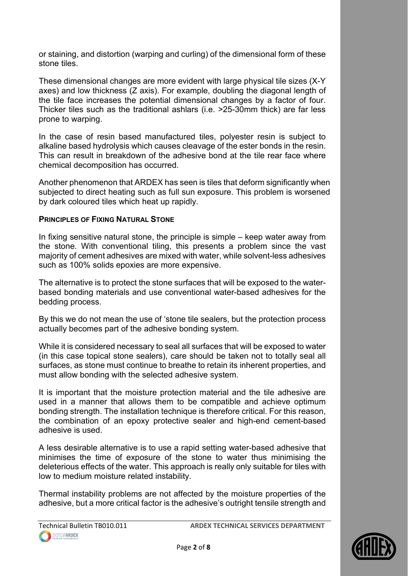or staining, and distortion (warping and curling) of the dimensional form of these stone tiles.

These dimensional changes are more evident with large physical tile sizes (X-Y axes) and low thickness (Z axis). For example, doubling the diagonal length of the tile face increases the potential dimensional changes by a factor of four. Thicker tiles such as the traditional ashlars (i.e. >25-30mm thick) are far less prone to warping.

In the case of resin based manufactured tiles, polyester resin is subject to alkaline based hydrolysis which causes cleavage of the ester bonds in the resin. This can result in breakdown of the adhesive bond at the tile rear face where chemical decomposition has occurred.

Another phenomenon that ARDEX has seen is tiles that deform significantly when subjected to direct heating such as full sun exposure. This problem is worsened by dark coloured tiles which heat up rapidly.

### **PRINCIPLES OF FIXING NATURAL STONE**

In fixing sensitive natural stone, the principle is simple – keep water away from the stone. With conventional tiling, this presents a problem since the vast majority of cement adhesives are mixed with water, while solvent-less adhesives such as 100% solids epoxies are more expensive.

The alternative is to protect the stone surfaces that will be exposed to the waterbased bonding materials and use conventional water-based adhesives for the bedding process.

By this we do not mean the use of 'stone tile sealers, but the protection process actually becomes part of the adhesive bonding system.

While it is considered necessary to seal all surfaces that will be exposed to water (in this case topical stone sealers), care should be taken not to totally seal all surfaces, as stone must continue to breathe to retain its inherent properties, and must allow bonding with the selected adhesive system.

It is important that the moisture protection material and the tile adhesive are used in a manner that allows them to be compatible and achieve optimum bonding strength. The installation technique is therefore critical. For this reason, the combination of an epoxy protective sealer and high-end cement-based adhesive is used.

A less desirable alternative is to use a rapid setting water-based adhesive that minimises the time of exposure of the stone to water thus minimising the deleterious effects of the water. This approach is really only suitable for tiles with low to medium moisture related instability.

Thermal instability problems are not affected by the moisture properties of the adhesive, but a more critical factor is the adhesive's outright tensile strength and

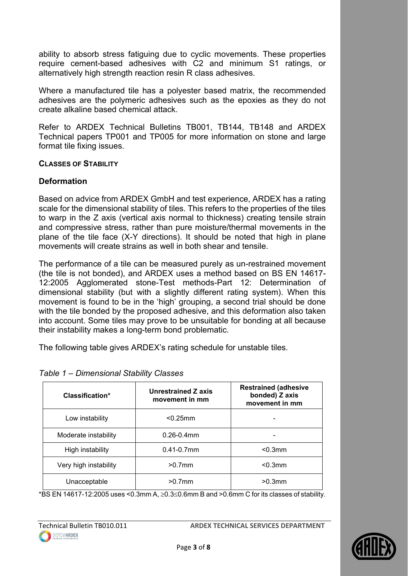ability to absorb stress fatiguing due to cyclic movements. These properties require cement-based adhesives with C2 and minimum S1 ratings, or alternatively high strength reaction resin R class adhesives.

Where a manufactured tile has a polyester based matrix, the recommended adhesives are the polymeric adhesives such as the epoxies as they do not create alkaline based chemical attack.

Refer to ARDEX Technical Bulletins TB001, TB144, TB148 and ARDEX Technical papers TP001 and TP005 for more information on stone and large format tile fixing issues.

### **CLASSES OF STABILITY**

### **Deformation**

Based on advice from ARDEX GmbH and test experience, ARDEX has a rating scale for the dimensional stability of tiles. This refers to the properties of the tiles to warp in the Z axis (vertical axis normal to thickness) creating tensile strain and compressive stress, rather than pure moisture/thermal movements in the plane of the tile face (X-Y directions). It should be noted that high in plane movements will create strains as well in both shear and tensile.

The performance of a tile can be measured purely as un-restrained movement (the tile is not bonded), and ARDEX uses a method based on BS EN 14617- 12:2005 Agglomerated stone-Test methods-Part 12: Determination of dimensional stability (but with a slightly different rating system). When this movement is found to be in the 'high' grouping, a second trial should be done with the tile bonded by the proposed adhesive, and this deformation also taken into account. Some tiles may prove to be unsuitable for bonding at all because their instability makes a long-term bond problematic.

The following table gives ARDEX's rating schedule for unstable tiles.

| Classification*       | Unrestrained Z axis<br>movement in mm | <b>Restrained (adhesive</b><br>bonded) Z axis<br>movement in mm |
|-----------------------|---------------------------------------|-----------------------------------------------------------------|
| Low instability       | $< 0.25$ mm                           |                                                                 |
| Moderate instability  | $0.26 - 0.4$ mm                       |                                                                 |
| High instability      | $0.41 - 0.7$ mm                       | $< 0.3$ mm                                                      |
| Very high instability | $>0.7$ mm                             | $< 0.3$ mm                                                      |
| Unacceptable          | $>0.7$ mm                             | $>0.3$ mm                                                       |

### *Table 1 – Dimensional Stability Classes*

\*BS EN 14617-12:2005 uses <0.3mm A,  $\geq$ 0.3 $\leq$ 0.6mm B and >0.6mm C for its classes of stability.

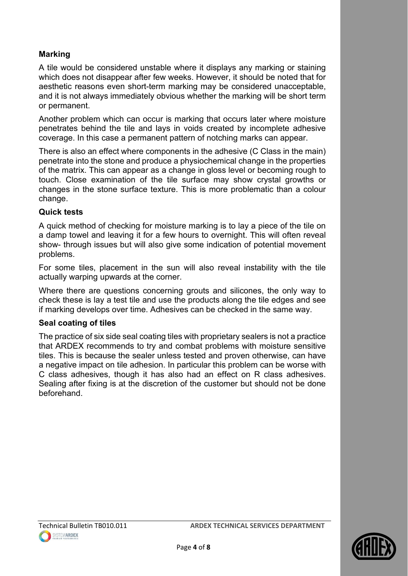# **Marking**

A tile would be considered unstable where it displays any marking or staining which does not disappear after few weeks. However, it should be noted that for aesthetic reasons even short-term marking may be considered unacceptable, and it is not always immediately obvious whether the marking will be short term or permanent.

Another problem which can occur is marking that occurs later where moisture penetrates behind the tile and lays in voids created by incomplete adhesive coverage. In this case a permanent pattern of notching marks can appear.

There is also an effect where components in the adhesive (C Class in the main) penetrate into the stone and produce a physiochemical change in the properties of the matrix. This can appear as a change in gloss level or becoming rough to touch. Close examination of the tile surface may show crystal growths or changes in the stone surface texture. This is more problematic than a colour change.

### **Quick tests**

A quick method of checking for moisture marking is to lay a piece of the tile on a damp towel and leaving it for a few hours to overnight. This will often reveal show- through issues but will also give some indication of potential movement problems.

For some tiles, placement in the sun will also reveal instability with the tile actually warping upwards at the corner.

Where there are questions concerning grouts and silicones, the only way to check these is lay a test tile and use the products along the tile edges and see if marking develops over time. Adhesives can be checked in the same way.

#### **Seal coating of tiles**

SYSTEMARDEX

The practice of six side seal coating tiles with proprietary sealers is not a practice that ARDEX recommends to try and combat problems with moisture sensitive tiles. This is because the sealer unless tested and proven otherwise, can have a negative impact on tile adhesion. In particular this problem can be worse with C class adhesives, though it has also had an effect on R class adhesives. Sealing after fixing is at the discretion of the customer but should not be done beforehand.

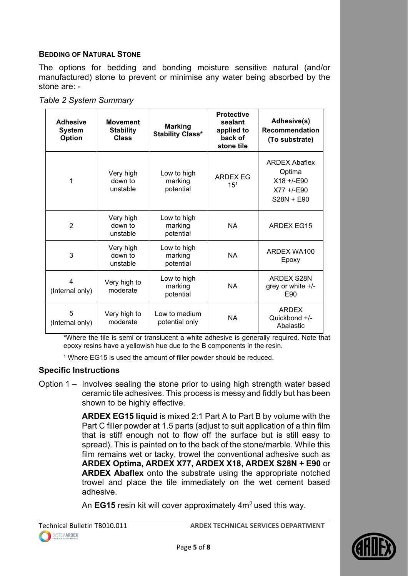## **BEDDING OF NATURAL STONE**

The options for bedding and bonding moisture sensitive natural (and/or manufactured) stone to prevent or minimise any water being absorbed by the stone are: -

| Table 2 System Summary |  |
|------------------------|--|
|------------------------|--|

| <b>Adhesive</b><br><b>System</b><br>Option | <b>Movement</b><br><b>Stability</b><br><b>Class</b> | <b>Marking</b><br><b>Stability Class*</b> | <b>Protective</b><br>sealant<br>applied to<br>back of<br>stone tile | Adhesive(s)<br><b>Recommendation</b><br>(To substrate)                            |
|--------------------------------------------|-----------------------------------------------------|-------------------------------------------|---------------------------------------------------------------------|-----------------------------------------------------------------------------------|
| 1                                          | Very high<br>down to<br>unstable                    | Low to high<br>marking<br>potential       | <b>ARDEX EG</b><br>15 <sup>1</sup>                                  | <b>ARDEX Abaflex</b><br>Optima<br>$X18 + /E90$<br>$X77 + (-0.90)$<br>$S28N + E90$ |
| $\overline{2}$                             | Very high<br>down to<br>unstable                    | Low to high<br>marking<br>potential       | <b>NA</b>                                                           | <b>ARDEX EG15</b>                                                                 |
| 3                                          | Very high<br>down to<br>unstable                    | Low to high<br>marking<br>potential       | <b>NA</b>                                                           | ARDEX WA100<br>Epoxy                                                              |
| 4<br>(Internal only)                       | Very high to<br>moderate                            | Low to high<br>marking<br>potential       | <b>NA</b>                                                           | ARDEX S28N<br>grey or white $+/-$<br>E90                                          |
| 5<br>(Internal only)                       | Very high to<br>moderate                            | Low to medium<br>potential only           | <b>NA</b>                                                           | <b>ARDEX</b><br>Quickbond +/-<br>Abalastic                                        |

\*Where the tile is semi or translucent a white adhesive is generally required. Note that epoxy resins have a yellowish hue due to the B components in the resin.

<sup>1</sup> Where EG15 is used the amount of filler powder should be reduced.

### **Specific Instructions**

Option 1 – Involves sealing the stone prior to using high strength water based ceramic tile adhesives. This process is messy and fiddly but has been shown to be highly effective.

> **ARDEX EG15 liquid** is mixed 2:1 Part A to Part B by volume with the Part C filler powder at 1.5 parts (adjust to suit application of a thin film that is stiff enough not to flow off the surface but is still easy to spread). This is painted on to the back of the stone/marble. While this film remains wet or tacky, trowel the conventional adhesive such as **ARDEX Optima, ARDEX X77, ARDEX X18, ARDEX S28N + E90** or **ARDEX Abaflex** onto the substrate using the appropriate notched trowel and place the tile immediately on the wet cement based adhesive.

An **EG15** resin kit will cover approximately 4m<sup>2</sup> used this way.

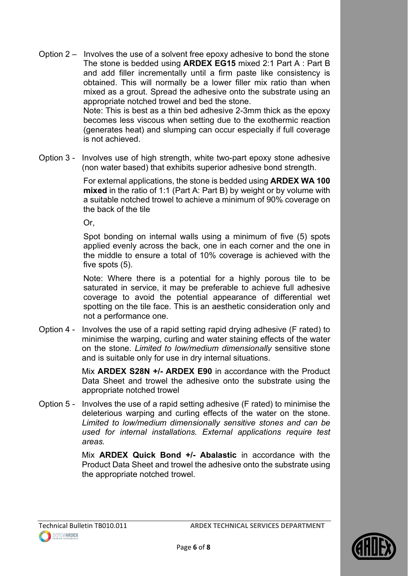- Option 2 Involves the use of a solvent free epoxy adhesive to bond the stone The stone is bedded using **ARDEX EG15** mixed 2:1 Part A : Part B and add filler incrementally until a firm paste like consistency is obtained. This will normally be a lower filler mix ratio than when mixed as a grout. Spread the adhesive onto the substrate using an appropriate notched trowel and bed the stone. Note: This is best as a thin bed adhesive 2-3mm thick as the epoxy becomes less viscous when setting due to the exothermic reaction (generates heat) and slumping can occur especially if full coverage is not achieved.
- Option 3 Involves use of high strength, white two-part epoxy stone adhesive (non water based) that exhibits superior adhesive bond strength.

For external applications, the stone is bedded using **ARDEX WA 100 mixed** in the ratio of 1:1 (Part A: Part B) by weight or by volume with a suitable notched trowel to achieve a minimum of 90% coverage on the back of the tile

 $Or$ 

Spot bonding on internal walls using a minimum of five (5) spots applied evenly across the back, one in each corner and the one in the middle to ensure a total of 10% coverage is achieved with the five spots (5).

Note: Where there is a potential for a highly porous tile to be saturated in service, it may be preferable to achieve full adhesive coverage to avoid the potential appearance of differential wet spotting on the tile face. This is an aesthetic consideration only and not a performance one.

Option 4 - Involves the use of a rapid setting rapid drying adhesive (F rated) to minimise the warping, curling and water staining effects of the water on the stone. *Limited to low/medium dimensionally* sensitive stone and is suitable only for use in dry internal situations.

> Mix **ARDEX S28N +/- ARDEX E90** in accordance with the Product Data Sheet and trowel the adhesive onto the substrate using the appropriate notched trowel

Option 5 - Involves the use of a rapid setting adhesive (F rated) to minimise the deleterious warping and curling effects of the water on the stone. *Limited to low/medium dimensionally sensitive stones and can be used for internal installations. External applications require test areas.*

> Mix **ARDEX Quick Bond +/- Abalastic** in accordance with the Product Data Sheet and trowel the adhesive onto the substrate using the appropriate notched trowel.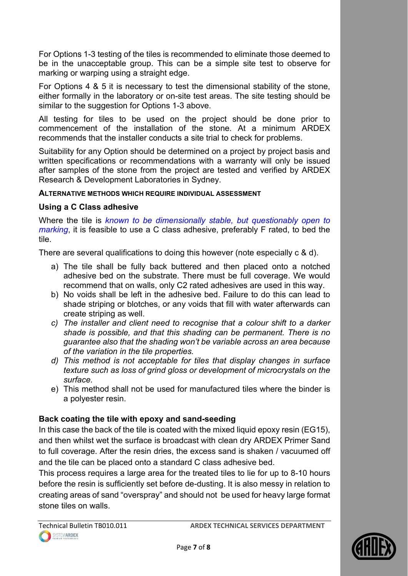For Options 1-3 testing of the tiles is recommended to eliminate those deemed to be in the unacceptable group. This can be a simple site test to observe for marking or warping using a straight edge.

For Options 4 & 5 it is necessary to test the dimensional stability of the stone, either formally in the laboratory or on-site test areas. The site testing should be similar to the suggestion for Options 1-3 above.

All testing for tiles to be used on the project should be done prior to commencement of the installation of the stone. At a minimum ARDEX recommends that the installer conducts a site trial to check for problems.

Suitability for any Option should be determined on a project by project basis and written specifications or recommendations with a warranty will only be issued after samples of the stone from the project are tested and verified by ARDEX Research & Development Laboratories in Sydney.

### **ALTERNATIVE METHODS WHICH REQUIRE INDIVIDUAL ASSESSMENT**

# **Using a C Class adhesive**

Where the tile is *known to be dimensionally stable, but questionably open to marking*, it is feasible to use a C class adhesive, preferably F rated, to bed the tile.

There are several qualifications to doing this however (note especially c & d).

- a) The tile shall be fully back buttered and then placed onto a notched adhesive bed on the substrate. There must be full coverage. We would recommend that on walls, only C2 rated adhesives are used in this way.
- b) No voids shall be left in the adhesive bed. Failure to do this can lead to shade striping or blotches, or any voids that fill with water afterwards can create striping as well.
- *c) The installer and client need to recognise that a colour shift to a darker shade is possible, and that this shading can be permanent. There is no guarantee also that the shading won't be variable across an area because of the variation in the tile properties.*
- *d) This method is not acceptable for tiles that display changes in surface texture such as loss of grind gloss or development of microcrystals on the surface.*
- e) This method shall not be used for manufactured tiles where the binder is a polyester resin.

# **Back coating the tile with epoxy and sand-seeding**

In this case the back of the tile is coated with the mixed liquid epoxy resin (EG15), and then whilst wet the surface is broadcast with clean dry ARDEX Primer Sand to full coverage. After the resin dries, the excess sand is shaken / vacuumed off and the tile can be placed onto a standard C class adhesive bed.

This process requires a large area for the treated tiles to lie for up to 8-10 hours before the resin is sufficiently set before de-dusting. It is also messy in relation to creating areas of sand "overspray" and should not be used for heavy large format stone tiles on walls.